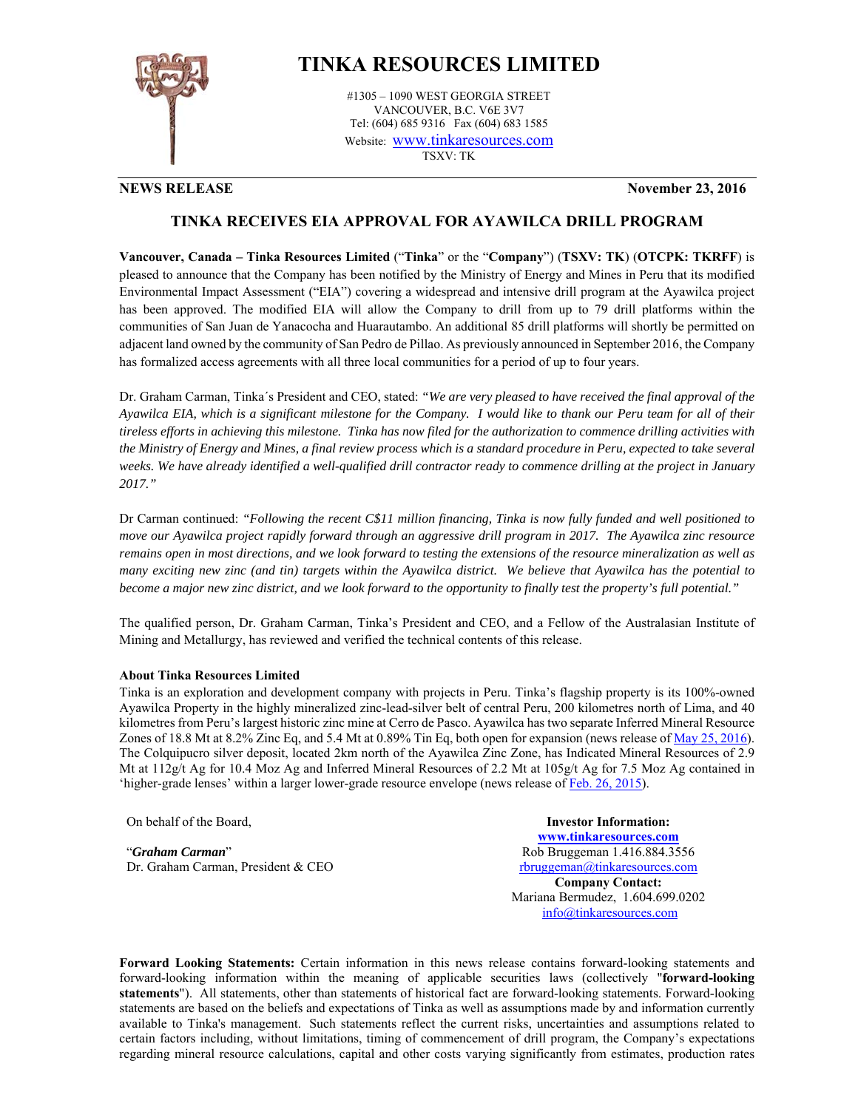

## **TINKA RESOURCES LIMITED**

#1305 – 1090 WEST GEORGIA STREET VANCOUVER, B.C. V6E 3V7 Tel: (604) 685 9316 Fax (604) 683 1585 Website: www.tinkaresources.com TSXV: TK

**NEWS RELEASE November 23, 2016**

## **TINKA RECEIVES EIA APPROVAL FOR AYAWILCA DRILL PROGRAM**

**Vancouver, Canada – Tinka Resources Limited** ("**Tinka**" or the "**Company**") (**TSXV: TK**) (**OTCPK: TKRFF**) is pleased to announce that the Company has been notified by the Ministry of Energy and Mines in Peru that its modified Environmental Impact Assessment ("EIA") covering a widespread and intensive drill program at the Ayawilca project has been approved. The modified EIA will allow the Company to drill from up to 79 drill platforms within the communities of San Juan de Yanacocha and Huarautambo. An additional 85 drill platforms will shortly be permitted on adjacent land owned by the community of San Pedro de Pillao. As previously announced in September 2016, the Company has formalized access agreements with all three local communities for a period of up to four years.

Dr. Graham Carman, Tinka´s President and CEO, stated: *"We are very pleased to have received the final approval of the Ayawilca EIA, which is a significant milestone for the Company. I would like to thank our Peru team for all of their tireless efforts in achieving this milestone. Tinka has now filed for the authorization to commence drilling activities with the Ministry of Energy and Mines, a final review process which is a standard procedure in Peru, expected to take several weeks. We have already identified a well-qualified drill contractor ready to commence drilling at the project in January 2017."* 

Dr Carman continued: *"Following the recent C\$11 million financing, Tinka is now fully funded and well positioned to move our Ayawilca project rapidly forward through an aggressive drill program in 2017. The Ayawilca zinc resource remains open in most directions, and we look forward to testing the extensions of the resource mineralization as well as many exciting new zinc (and tin) targets within the Ayawilca district. We believe that Ayawilca has the potential to become a major new zinc district, and we look forward to the opportunity to finally test the property's full potential."* 

The qualified person, Dr. Graham Carman, Tinka's President and CEO, and a Fellow of the Australasian Institute of Mining and Metallurgy, has reviewed and verified the technical contents of this release.

## **About Tinka Resources Limited**

Tinka is an exploration and development company with projects in Peru. Tinka's flagship property is its 100%-owned Ayawilca Property in the highly mineralized zinc-lead-silver belt of central Peru, 200 kilometres north of Lima, and 40 kilometres from Peru's largest historic zinc mine at Cerro de Pasco. Ayawilca has two separate Inferred Mineral Resource Zones of 18.8 Mt at 8.2% Zinc Eq, and 5.4 Mt at 0.89% Tin Eq, both open for expansion (news release of <u>May 25, 2016</u>). The Colquipucro silver deposit, located 2km north of the Ayawilca Zinc Zone, has Indicated Mineral Resources of 2.9 Mt at 112g/t Ag for 10.4 Moz Ag and Inferred Mineral Resources of 2.2 Mt at 105g/t Ag for 7.5 Moz Ag contained in 'higher-grade lenses' within a larger lower-grade resource envelope (news release of Feb. 26, 2015).

On behalf of the Board,

"*Graham Carman*" Dr. Graham Carman, President & CEO

**Investor Information: www.tinkaresources.com** Rob Bruggeman 1.416.884.3556 rbruggeman@tinkaresources.com **Company Contact:** Mariana Bermudez, 1.604.699.0202 info@tinkaresources.com

**Forward Looking Statements:** Certain information in this news release contains forward-looking statements and forward-looking information within the meaning of applicable securities laws (collectively "**forward-looking statements**"). All statements, other than statements of historical fact are forward-looking statements. Forward-looking statements are based on the beliefs and expectations of Tinka as well as assumptions made by and information currently available to Tinka's management. Such statements reflect the current risks, uncertainties and assumptions related to certain factors including, without limitations, timing of commencement of drill program, the Company's expectations regarding mineral resource calculations, capital and other costs varying significantly from estimates, production rates